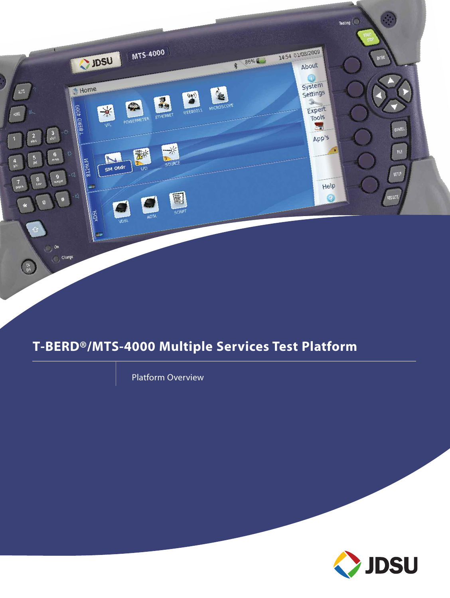

# **T-BERD®/MTS-4000 Multiple Services Test Platform**

Platform Overview

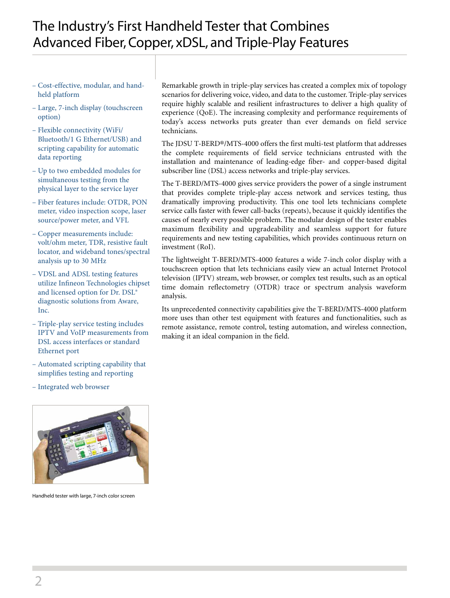## The Industry's First Handheld Tester that Combines Advanced Fiber, Copper, xDSL, and Triple-Play Features

- Cost-effective, modular, and handheld platform
- Large, 7-inch display (touchscreen option)
- Flexible connectivity (WiFi/ Bluetooth/1 G Ethernet/USB) and scripting capability for automatic data reporting
- Up to two embedded modules for simultaneous testing from the physical layer to the service layer
- Fiber features include: OTDR, PON meter, video inspection scope, laser source/power meter, and VFL
- Copper measurements include: volt/ohm meter, TDR, resistive fault locator, and wideband tones/spectral analysis up to 30 MHz
- VDSL and ADSL testing features utilize Infineon Technologies chipset and licensed option for Dr. DSL® diagnostic solutions from Aware, Inc.
- Triple-play service testing includes IPTV and VoIP measurements from DSL access interfaces or standard Ethernet port
- Automated scripting capability that simplifies testing and reporting
- Integrated web browser



Handheld tester with large, 7-inch color screen

Remarkable growth in triple-play services has created a complex mix of topology scenarios for delivering voice, video, and data to the customer. Triple-play services require highly scalable and resilient infrastructures to deliver a high quality of experience (QoE). The increasing complexity and performance requirements of today's access networks puts greater than ever demands on field service technicians.

The JDSU T-BERD®/MTS-4000 offers the first multi-test platform that addresses the complete requirements of field service technicians entrusted with the installation and maintenance of leading-edge fiber- and copper-based digital subscriber line (DSL) access networks and triple-play services.

The T-BERD/MTS-4000 gives service providers the power of a single instrument that provides complete triple-play access network and services testing, thus dramatically improving productivity. This one tool lets technicians complete service calls faster with fewer call-backs (repeats), because it quickly identifies the causes of nearly every possible problem. The modular design of the tester enables maximum flexibility and upgradeability and seamless support for future requirements and new testing capabilities, which provides continuous return on investment (RoI).

The lightweight T-BERD/MTS-4000 features a wide 7-inch color display with a touchscreen option that lets technicians easily view an actual Internet Protocol television (IPTV) stream, web browser, or complex test results, such as an optical time domain reflectometry (OTDR) trace or spectrum analysis waveform analysis.

Its unprecedented connectivity capabilities give the T-BERD/MTS-4000 platform more uses than other test equipment with features and functionalities, such as remote assistance, remote control, testing automation, and wireless connection, making it an ideal companion in the field.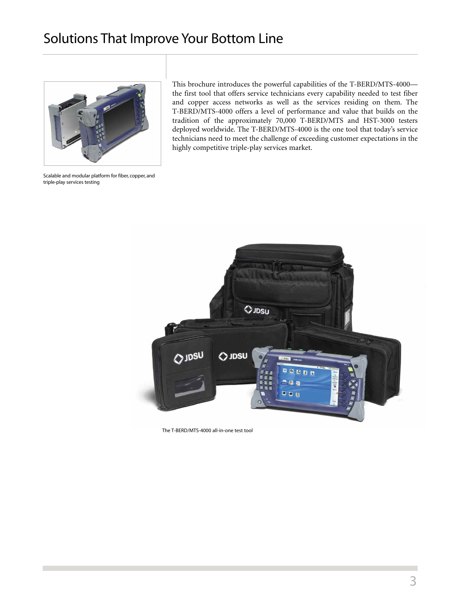## Solutions That Improve Your Bottom Line



This brochure introduces the powerful capabilities of the T-BERD/MTS-4000 the first tool that offers service technicians every capability needed to test fiber and copper access networks as well as the services residing on them. The T-BERD/MTS-4000 offers a level of performance and value that builds on the tradition of the approximately 70,000 T-BERD/MTS and HST-3000 testers deployed worldwide. The T-BERD/MTS-4000 is the one tool that today's service technicians need to meet the challenge of exceeding customer expectations in the highly competitive triple-play services market.

Scalable and modular platform for fiber, copper, and triple-play services testing



The T-BERD/MTS-4000 all-in-one test tool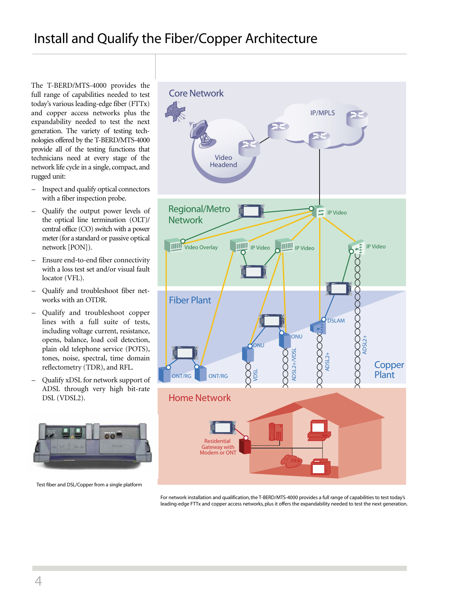# Install and Qualify the Fiber/Copper Architecture

The T-BERD/MTS-4000 provides the full range of capabilities needed to test today's various leading-edge fiber (FTTx) and copper access networks plus the expandability needed to test the next generation. The variety of testing technologies offered by the T-BERD/MTS-4000 provide all of the testing functions that technicians need at every stage of the network life cycle in a single, compact, and rugged unit:

- Inspect and qualify optical connectors with a fiber inspection probe.
- Qualify the output power levels of the optical line termination (OLT)/ central office (CO) switch with a power meter(for a standard or passive optical network [PON]).
- Ensure end-to-end fiber connectivity with a loss test set and/or visual fault locator (VFL).
- Qualify and troubleshoot fiber networks with an OTDR.
- Qualify and troubleshoot copper lines with a full suite of tests, including voltage current, resistance, opens, balance, load coil detection, plain old telephone service (POTS), tones, noise, spectral, time domain reflectometry (TDR), and RFL.
- Qualify xDSL for network support of ADSL through very high bit-rate DSL (VDSL2).



Test fiber and DSL/Copper from a single platform



For network installation and qualification,the T-BERD/MTS-4000 provides a full range of capabilities to test today's leading-edge FTTx and copper access networks, plus it offers the expandability needed to test the next generation.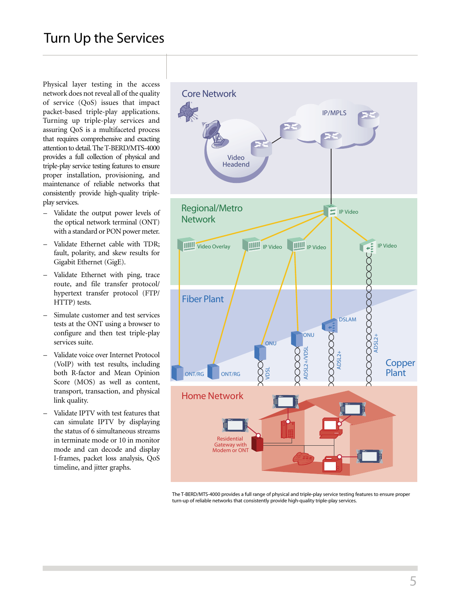### Turn Up the Services

Physical layer testing in the access network does not reveal all of the quality of service (QoS) issues that impact packet-based triple-play applications. Turning up triple-play services and assuring QoS is a multifaceted process that requires comprehensive and exacting attention to detail. The T-BERD/MTS-4000 provides a full collection of physical and triple-play service testing features to ensure proper installation, provisioning, and maintenance of reliable networks that consistently provide high-quality tripleplay services.

- Validate the output power levels of the optical network terminal (ONT) with a standard or PON power meter.
- Validate Ethernet cable with TDR; fault, polarity, and skew results for Gigabit Ethernet (GigE).
- Validate Ethernet with ping, trace route, and file transfer protocol/ hypertext transfer protocol (FTP/ HTTP) tests.
- Simulate customer and test services tests at the ONT using a browser to configure and then test triple-play services suite.
- Validate voice over Internet Protocol (VoIP) with test results, including both R-factor and Mean Opinion Score (MOS) as well as content, transport, transaction, and physical link quality.
- Validate IPTV with test features that can simulate IPTV by displaying the status of 6 simultaneous streams in terminate mode or 10 in monitor mode and can decode and display I-frames, packet loss analysis, QoS timeline, and jitter graphs.



The T-BERD/MTS-4000 provides a full range of physical and triple-play service testing features to ensure proper turn-up of reliable networks that consistently provide high-quality triple-play services.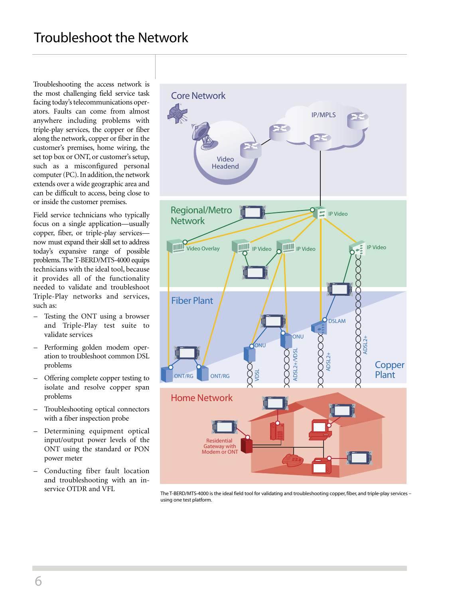## Troubleshoot the Network

Troubleshooting the access network is the most challenging field service task facing today's telecommunications operators. Faults can come from almost anywhere including problems with triple-play services, the copper or fiber along the network, copper or fiber in the customer's premises, home wiring, the set top box or ONT, or customer's setup, such as a misconfigured personal computer (PC). In addition, the network extends over a wide geographic area and can be difficult to access, being close to or inside the customer premises.

Field service technicians who typically focus on a single application—usually copper, fiber, or triple-play services now must expand their skill set to address today's expansive range of possible problems.The T-BERD/MTS-4000 equips technicians with the ideal tool, because it provides all of the functionality needed to validate and troubleshoot Triple-Play networks and services, such as:

- Testing the ONT using a browser and Triple-Play test suite to validate services
- Performing golden modem operation to troubleshoot common DSL problems
- Offering complete copper testing to isolate and resolve copper span problems
- Troubleshooting optical connectors with a fiber inspection probe
- Determining equipment optical input/output power levels of the ONT using the standard or PON power meter
- Conducting fiber fault location and troubleshooting with an inservice OTDR and VFL



The T-BERD/MTS-4000 is the ideal field tool for validating and troubleshooting copper,fiber, and triple-play services – using one test platform.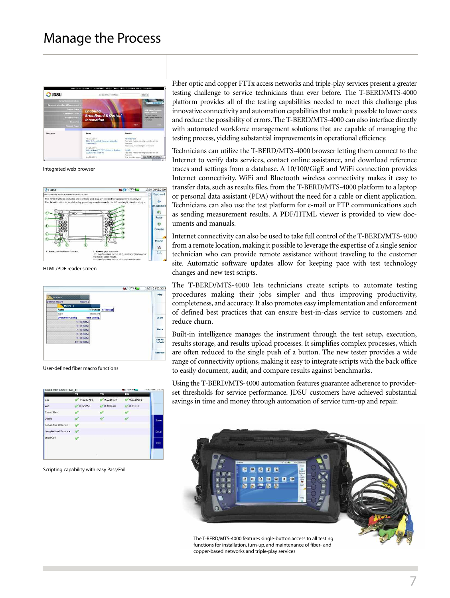### Manage the Process



Integrated web browser



HTML/PDF reader screen



User-defined fiber macro functions

| G000 Pair Check (Al_1)    |              |           | <b>IN WATER</b> | 14:30 00/11/20 |
|---------------------------|--------------|-----------|-----------------|----------------|
|                           | <b>TR</b>    | TG.       | RG              |                |
| Vdc                       | $-0.0330798$ | 0.0236437 | 0.0189993       |                |
| Vac                       | 0.025552     | 0.109478  | 0.11016         |                |
| <b>Circuit Res</b>        |              |           |                 |                |
| Opens                     |              |           |                 | Save           |
| <b>Capacitive Balance</b> |              |           |                 |                |
| Longitudinal Balance      |              |           |                 | Deta           |
| Load Coil                 |              |           |                 |                |
|                           |              |           |                 | Exit           |
|                           |              |           |                 |                |
|                           |              | ÷         |                 |                |

Scripting capability with easy Pass/Fail

Fiber optic and copper FTTx access networks and triple-play services present a greater testing challenge to service technicians than ever before. The T-BERD/MTS-4000 platform provides all of the testing capabilities needed to meet this challenge plus innovative connectivity and automation capabilities that make it possible to lower costs and reduce the possibility of errors.The T-BERD/MTS-4000 can also interface directly with automated workforce management solutions that are capable of managing the testing process, yielding substantial improvements in operational efficiency.

Technicians can utilize the T-BERD/MTS-4000 browser letting them connect to the Internet to verify data services, contact online assistance, and download reference traces and settings from a database. A 10/100/GigE and WiFi connection provides Internet connectivity. WiFi and Bluetooth wireless connectivity makes it easy to transfer data, such as results files, from the T-BERD/MTS-4000 platform to a laptop or personal data assistant (PDA) without the need for a cable or client application. Technicians can also use the test platform for e-mail or FTP communications such as sending measurement results. A PDF/HTML viewer is provided to view documents and manuals.

Internet connectivity can also be used to take full control of the T-BERD/MTS-4000 from a remote location, making it possible to leverage the expertise of a single senior technician who can provide remote assistance without traveling to the customer site. Automatic software updates allow for keeping pace with test technology changes and new test scripts.

The T-BERD/MTS-4000 lets technicians create scripts to automate testing procedures making their jobs simpler and thus improving productivity, completeness, and accuracy.It also promotes easy implementation and enforcement of defined best practices that can ensure best-in-class service to customers and reduce churn.

Built-in intelligence manages the instrument through the test setup, execution, results storage, and results upload processes. It simplifies complex processes, which are often reduced to the single push of a button. The new tester provides a wide range of connectivity options, making it easy to integrate scripts with the back office to easily document, audit, and compare results against benchmarks.

Using the T-BERD/MTS-4000 automation features guarantee adherence to providerset thresholds for service performance. JDSU customers have achieved substantial savings in time and money through automation of service turn-up and repair.



functions for installation,turn-up, and maintenance of fiber- and copper-based networks and triple-play services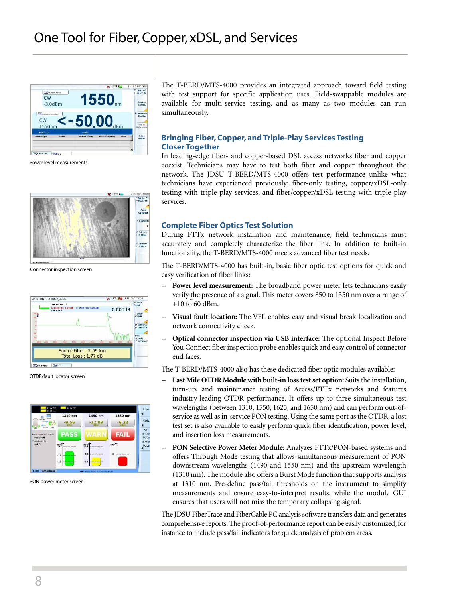

Power level measurements



Connector inspection screen



OTDR/fault locator screen



PON power meter screen

The T-BERD/MTS-4000 provides an integrated approach toward field testing with test support for specific application uses. Field-swappable modules are available for multi-service testing, and as many as two modules can run simultaneously.

#### **Bringing Fiber, Copper, and Triple-Play Services Testing Closer Together**

In leading-edge fiber- and copper-based DSL access networks fiber and copper coexist. Technicians may have to test both fiber and copper throughout the network. The JDSU T-BERD/MTS-4000 offers test performance unlike what technicians have experienced previously: fiber-only testing, copper/xDSL-only testing with triple-play services, and fiber/copper/xDSL testing with triple-play services.

#### **Complete Fiber Optics Test Solution**

During FTTx network installation and maintenance, field technicians must accurately and completely characterize the fiber link. In addition to built-in functionality, the T-BERD/MTS-4000 meets advanced fiber test needs.

The T-BERD/MTS-4000 has built-in, basic fiber optic test options for quick and easy verification of fiber links:

- **Power level measurement:** The broadband power meter lets technicians easily verify the presence of a signal. This meter covers 850 to 1550 nm over a range of  $+10$  to 60 dBm.
- **Visual fault location:** The VFL enables easy and visual break localization and network connectivity check.
- **Optical connector inspection via USB interface:** The optional Inspect Before You Connect fiber inspection probe enables quick and easy control of connector end faces.

The T-BERD/MTS-4000 also has these dedicated fiber optic modules available:

- **Last Mile OTDR Modulewith built-in losstestset option:** Suits the installation, turn-up, and maintenance testing of Access/FTTx networks and features industry-leading OTDR performance. It offers up to three simultaneous test wavelengths (between 1310, 1550, 1625, and 1650 nm) and can perform out-ofservice as well as in-service PON testing. Using the same port as the OTDR, a lost test set is also available to easily perform quick fiber identification, power level, and insertion loss measurements.
- **PON Selective Power Meter Module:** Analyzes FTTx/PON-based systems and offers Through Mode testing that allows simultaneous measurement of PON downstream wavelengths (1490 and 1550 nm) and the upstream wavelength (1310 nm). The module also offers a Burst Mode function that supports analysis at 1310 nm. Pre-define pass/fail thresholds on the instrument to simplify measurements and ensure easy-to-interpret results, while the module GUI ensures that users will not miss the temporary collapsing signal.

The JDSU FiberTrace and FiberCable PC analysis software transfers data and generates comprehensive reports. The proof-of-performance report can be easily customized, for instance to include pass/fail indicators for quick analysis of problem areas.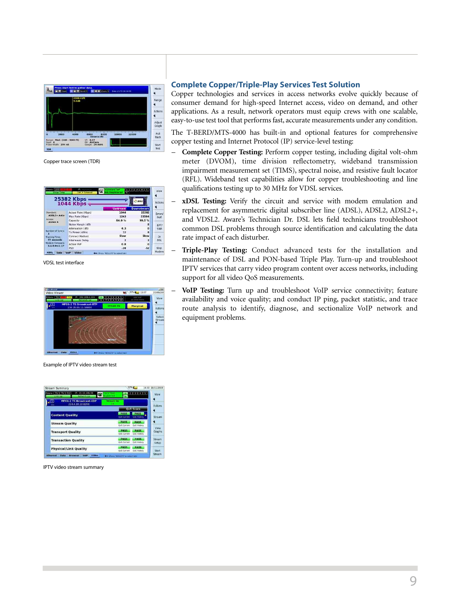

Copper trace screen (TDR)

|                                                                                                        | <b>25382 Kbps</b><br><b>1044 Kbps</b> |                 | Ouosu             |
|--------------------------------------------------------------------------------------------------------|---------------------------------------|-----------------|-------------------|
|                                                                                                        |                                       | <b>Upstream</b> | <b>Downstream</b> |
| Standard<br>ADSL2+ Auto<br>Annex:<br><b>Annex A</b>                                                    | Actual Rate (Kbps)                    | 1044            | 25382             |
|                                                                                                        | Max Rate (Kbps)                       | 1243            | 25504             |
|                                                                                                        | Capacity                              | 84.0%           | 99.5 %            |
|                                                                                                        | Noise Margin (dB)                     |                 | B                 |
| <b>Mumber of Syncs</b><br>Training Time<br>77 seconds<br><b>Modern Firmware</b><br>$3.1.0.0$ rc $3.17$ | Attenuation (dB)                      | 6.3             | $\Omega$          |
|                                                                                                        | Tx Power (dilm)                       | 12              | R                 |
|                                                                                                        | Connect Method                        | Slow            | Slow              |
|                                                                                                        | Interleave Delay                      | $\overline{a}$  | 2                 |
|                                                                                                        | Actual INF                            | 0.8             | $\alpha$          |
|                                                                                                        | <b>PSD</b>                            | $-38$           | $-52$             |

VDSL test interface



Example of IPTV video stream test

| <b>Stream Summary</b><br>Errors:   Rx    Tx    Col<br>1P: 10.10.146.59 | 32% 0<br>2111415<br><b>CONTRACTOR</b>                                  | 14:30 18/11/200<br>View |
|------------------------------------------------------------------------|------------------------------------------------------------------------|-------------------------|
| 口.<br><b>MPEG-2 TS Broadcast-UDP</b><br>224.4.10.10:8208               | <b>Stream Up</b>                                                       |                         |
|                                                                        | <b>QoS Score</b>                                                       | <b>Actions</b>          |
| <b>Content Quality</b>                                                 | <b>PASS</b><br><b>PASS</b><br><b>QAS History</b><br><b>DoS Current</b> | Stream                  |
| <b>Stream Quality</b>                                                  | <b>PASS</b><br>PASS<br><b>QoS Current</b><br><b>Out History</b>        |                         |
| <b>Transport Quality</b>                                               | PASS<br><b>PASS</b><br>On's History<br><b>OoS Current</b>              | <b>View</b><br>Graphs   |
| <b>Transaction Quality</b>                                             | <b>PASS</b><br><b>PASS</b><br><b>On't Current</b><br>Out-History       | Stream<br>Setup         |
| <b>Physical/Link Quality</b>                                           | PASS<br><b>PASS</b><br>Out Current<br>Quis History                     | Start                   |
| Video<br>VolP<br>Ethernet<br><b>Data</b><br><b>Browser</b>             | 4- (Press "NISUATS" to salect tabl-                                    | Stream                  |

IPTV video stream summary

#### **Complete Copper/Triple-Play Services Test Solution**

Copper technologies and services in access networks evolve quickly because of consumer demand for high-speed Internet access, video on demand, and other applications. As a result, network operators must equip crews with one scalable, easy-to-use test tool that performs fast, accurate measurements under any condition.

The T-BERD/MTS-4000 has built-in and optional features for comprehensive copper testing and Internet Protocol (IP) service-level testing:

- **Complete Copper Testing:** Perform copper testing, including digital volt-ohm meter (DVOM), time division reflectometry, wideband transmission impairment measurement set (TIMS), spectral noise, and resistive fault locator (RFL). Wideband test capabilities allow for copper troubleshooting and line qualifications testing up to 30 MHz for VDSL services.
- **xDSL Testing:** Verify the circuit and service with modem emulation and replacement for asymmetric digital subscriber line (ADSL), ADSL2, ADSL2+, and VDSL2. Aware's Technician Dr. DSL lets field technicians troubleshoot common DSL problems through source identification and calculating the data rate impact of each disturber.
- **Triple-Play Testing:** Conduct advanced tests for the installation and maintenance of DSL and PON-based Triple Play. Turn-up and troubleshoot IPTV services that carry video program content over access networks, including support for all video QoS measurements.
- **VoIP Testing:** Turn up and troubleshoot VoIP service connectivity; feature availability and voice quality; and conduct IP ping, packet statistic, and trace route analysis to identify, diagnose, and sectionalize VoIP network and equipment problems.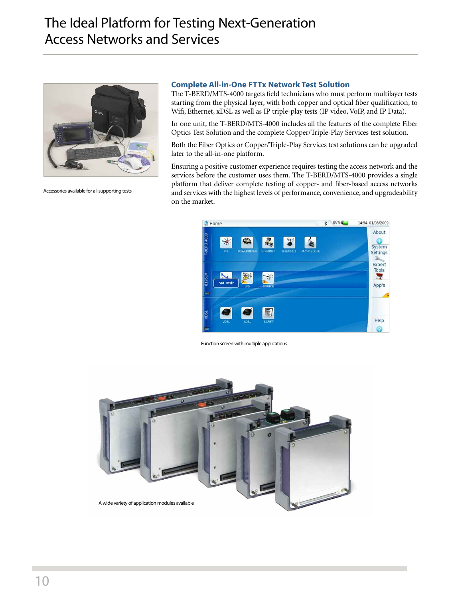## The Ideal Platform for Testing Next-Generation Access Networks and Services



Accessories available for all supporting tests

#### **Complete All-in-One FTTx Network Test Solution**

The T-BERD/MTS-4000 targets field technicians who must perform multilayer tests starting from the physical layer, with both copper and optical fiber qualification, to Wifi, Ethernet, xDSL as well as IP triple-play tests (IP video, VoIP, and IP Data).

In one unit, the T-BERD/MTS-4000 includes all the features of the complete Fiber Optics Test Solution and the complete Copper/Triple-Play Services test solution.

Both the Fiber Optics or Copper/Triple-Play Services test solutions can be upgraded later to the all-in-one platform.

Ensuring a positive customer experience requires testing the access network and the services before the customer uses them. The T-BERD/MTS-4000 provides a single platform that deliver complete testing of copper- and fiber-based access networks and services with the highest levels of performance, convenience, and upgradeability on the market.



Function screen with multiple applications

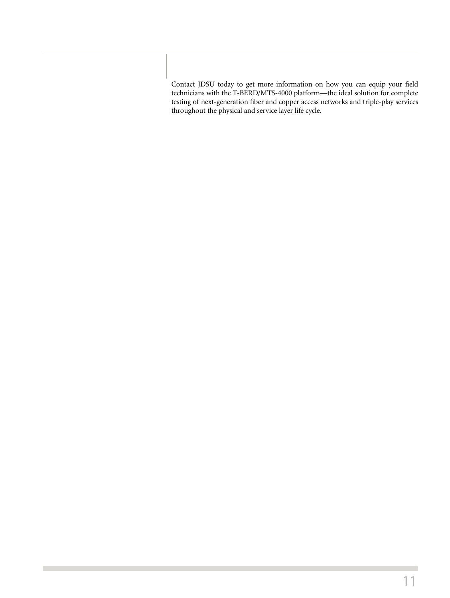Contact JDSU today to get more information on how you can equip your field technicians with the T-BERD/MTS-4000 platform—the ideal solution for complete testing of next-generation fiber and copper access networks and triple-play services throughout the physical and service layer life cycle.